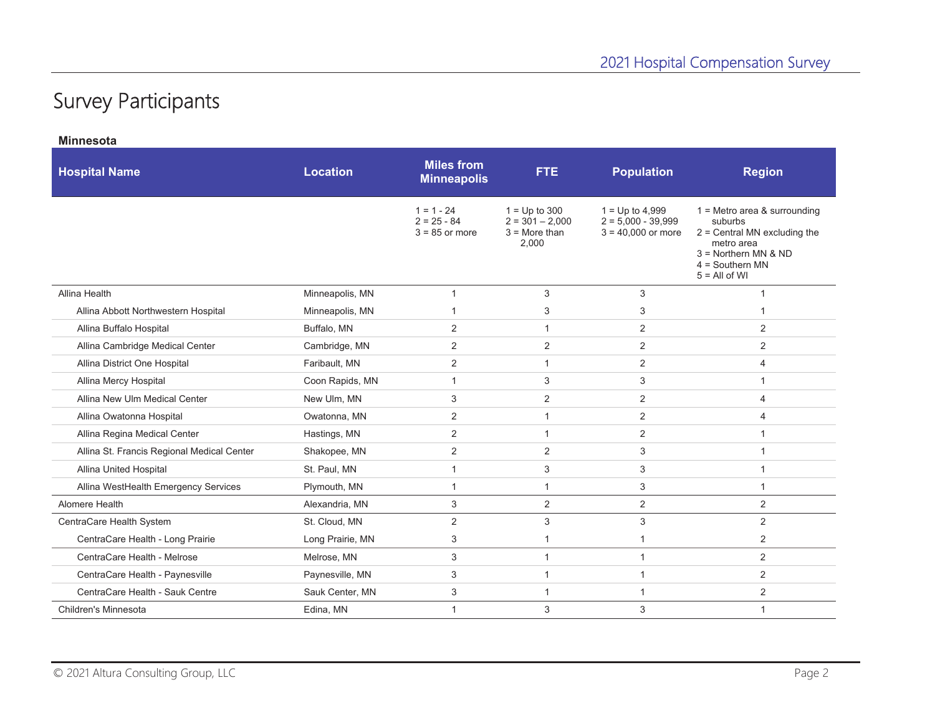## Survey Participants

| <b>Minnesota</b>                           |                  |                                                   |                                                                  |                                                                   |                                                                                                                                                             |
|--------------------------------------------|------------------|---------------------------------------------------|------------------------------------------------------------------|-------------------------------------------------------------------|-------------------------------------------------------------------------------------------------------------------------------------------------------------|
| <b>Hospital Name</b>                       | <b>Location</b>  | <b>Miles from</b><br><b>Minneapolis</b>           | FTE.                                                             | <b>Population</b>                                                 | <b>Region</b>                                                                                                                                               |
|                                            |                  | $1 = 1 - 24$<br>$2 = 25 - 84$<br>$3 = 85$ or more | $1 = Up to 300$<br>$2 = 301 - 2,000$<br>$3 =$ More than<br>2,000 | $1 = Up to 4,999$<br>$2 = 5,000 - 39,999$<br>$3 = 40,000$ or more | $1 =$ Metro area & surrounding<br>suburbs<br>$2$ = Central MN excluding the<br>metro area<br>$3 =$ Northern MN & ND<br>$4 =$ Southern MN<br>$5 = All of WI$ |
| Allina Health                              | Minneapolis, MN  | $\mathbf{1}$                                      | 3                                                                | 3                                                                 | $\mathbf{1}$                                                                                                                                                |
| Allina Abbott Northwestern Hospital        | Minneapolis, MN  | -1                                                | 3                                                                | 3                                                                 | -1                                                                                                                                                          |
| Allina Buffalo Hospital                    | Buffalo, MN      | $\overline{2}$                                    | $\mathbf{1}$                                                     | 2                                                                 | 2                                                                                                                                                           |
| Allina Cambridge Medical Center            | Cambridge, MN    | 2                                                 | 2                                                                | 2                                                                 | 2                                                                                                                                                           |
| Allina District One Hospital               | Faribault, MN    | 2                                                 | $\mathbf{1}$                                                     | 2                                                                 | $\overline{4}$                                                                                                                                              |
| Allina Mercy Hospital                      | Coon Rapids, MN  | $\mathbf{1}$                                      | 3                                                                | 3                                                                 | $\mathbf{1}$                                                                                                                                                |
| Allina New Ulm Medical Center              | New Ulm, MN      | 3                                                 | 2                                                                | 2                                                                 | $\overline{4}$                                                                                                                                              |
| Allina Owatonna Hospital                   | Owatonna, MN     | $\mathbf{2}$                                      | $\mathbf{1}$                                                     | 2                                                                 | $\overline{4}$                                                                                                                                              |
| Allina Regina Medical Center               | Hastings, MN     | 2                                                 | $\mathbf{1}$                                                     | 2                                                                 | $\mathbf{1}$                                                                                                                                                |
| Allina St. Francis Regional Medical Center | Shakopee, MN     | $\mathbf{2}$                                      | 2                                                                | 3                                                                 | $\mathbf{1}$                                                                                                                                                |
| Allina United Hospital                     | St. Paul, MN     | $\mathbf{1}$                                      | 3                                                                | 3                                                                 | $\mathbf{1}$                                                                                                                                                |
| Allina WestHealth Emergency Services       | Plymouth, MN     | $\mathbf{1}$                                      | $\mathbf{1}$                                                     | 3                                                                 | $\mathbf{1}$                                                                                                                                                |
| Alomere Health                             | Alexandria, MN   | 3                                                 | $\overline{2}$                                                   | $\overline{2}$                                                    | $\overline{2}$                                                                                                                                              |
| CentraCare Health System                   | St. Cloud, MN    | $\mathbf{2}$                                      | 3                                                                | $\ensuremath{\mathsf{3}}$                                         | 2                                                                                                                                                           |
| CentraCare Health - Long Prairie           | Long Prairie, MN | 3                                                 | $\mathbf{1}$                                                     | $\mathbf{1}$                                                      | 2                                                                                                                                                           |
| CentraCare Health - Melrose                | Melrose, MN      | 3                                                 | $\mathbf{1}$                                                     | $\mathbf{1}$                                                      | 2                                                                                                                                                           |
| CentraCare Health - Paynesville            | Paynesville, MN  | $\ensuremath{\mathsf{3}}$                         | $\mathbf{1}$                                                     | $\mathbf{1}$                                                      | 2                                                                                                                                                           |
| CentraCare Health - Sauk Centre            | Sauk Center, MN  | 3                                                 | $\mathbf{1}$                                                     | $\mathbf{1}$                                                      | $\overline{2}$                                                                                                                                              |
| Children's Minnesota                       | Edina, MN        | $\mathbf{1}$                                      | 3                                                                | 3                                                                 | $\mathbf{1}$                                                                                                                                                |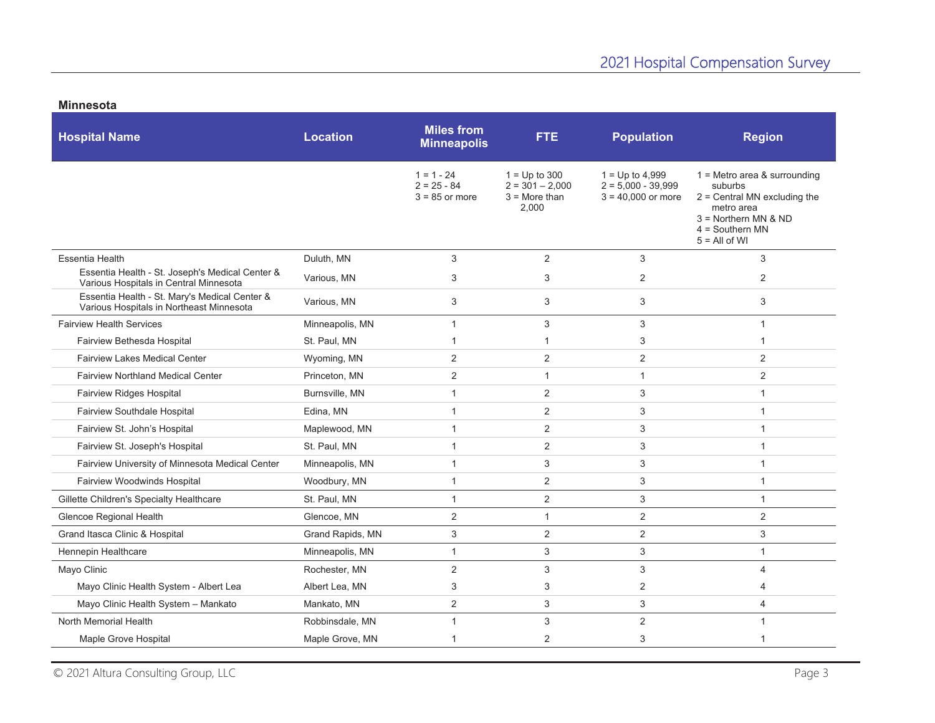|  | <b>Minnesota</b> |  |
|--|------------------|--|
|--|------------------|--|

| <b>Hospital Name</b>                                                                      | <b>Location</b>  | <b>Miles from</b><br><b>Minneapolis</b>           | <b>FTE</b>                                                       | <b>Population</b>                                                 | <b>Region</b>                                                                                                                                               |
|-------------------------------------------------------------------------------------------|------------------|---------------------------------------------------|------------------------------------------------------------------|-------------------------------------------------------------------|-------------------------------------------------------------------------------------------------------------------------------------------------------------|
|                                                                                           |                  | $1 = 1 - 24$<br>$2 = 25 - 84$<br>$3 = 85$ or more | $1 = Up to 300$<br>$2 = 301 - 2.000$<br>$3 =$ More than<br>2.000 | $1 = Up to 4,999$<br>$2 = 5.000 - 39.999$<br>$3 = 40,000$ or more | $1 =$ Metro area & surrounding<br>suburbs<br>$2$ = Central MN excluding the<br>metro area<br>$3 =$ Northern MN & ND<br>$4 =$ Southern MN<br>$5 = All of WI$ |
| <b>Essentia Health</b>                                                                    | Duluth, MN       | 3                                                 | $\overline{2}$                                                   | 3                                                                 | 3                                                                                                                                                           |
| Essentia Health - St. Joseph's Medical Center &<br>Various Hospitals in Central Minnesota | Various, MN      | 3                                                 | 3                                                                | $\overline{2}$                                                    | $\overline{2}$                                                                                                                                              |
| Essentia Health - St. Mary's Medical Center &<br>Various Hospitals in Northeast Minnesota | Various, MN      | 3                                                 | 3                                                                | 3                                                                 | 3                                                                                                                                                           |
| <b>Fairview Health Services</b>                                                           | Minneapolis, MN  | $\mathbf{1}$                                      | 3                                                                | 3                                                                 | $\mathbf{1}$                                                                                                                                                |
| Fairview Bethesda Hospital                                                                | St. Paul, MN     | -1                                                | 1                                                                | 3                                                                 | 1                                                                                                                                                           |
| <b>Fairview Lakes Medical Center</b>                                                      | Wyoming, MN      | 2                                                 | $\overline{2}$                                                   | 2                                                                 | $\overline{2}$                                                                                                                                              |
| <b>Fairview Northland Medical Center</b>                                                  | Princeton, MN    | 2                                                 | $\mathbf{1}$                                                     | $\mathbf{1}$                                                      | $\overline{2}$                                                                                                                                              |
| Fairview Ridges Hospital                                                                  | Burnsville, MN   | $\mathbf{1}$                                      | $\overline{2}$                                                   | 3                                                                 | $\overline{1}$                                                                                                                                              |
| Fairview Southdale Hospital                                                               | Edina, MN        | $\mathbf{1}$                                      | $\overline{2}$                                                   | 3                                                                 | 1                                                                                                                                                           |
| Fairview St. John's Hospital                                                              | Maplewood, MN    | $\mathbf{1}$                                      | $\overline{c}$                                                   | 3                                                                 | $\overline{1}$                                                                                                                                              |
| Fairview St. Joseph's Hospital                                                            | St. Paul, MN     | $\mathbf{1}$                                      | $\overline{2}$                                                   | 3                                                                 | $\mathbf 1$                                                                                                                                                 |
| Fairview University of Minnesota Medical Center                                           | Minneapolis, MN  | $\mathbf{1}$                                      | 3                                                                | 3                                                                 | 1                                                                                                                                                           |
| Fairview Woodwinds Hospital                                                               | Woodbury, MN     | $\mathbf{1}$                                      | $\overline{2}$                                                   | 3                                                                 | 1                                                                                                                                                           |
| Gillette Children's Specialty Healthcare                                                  | St. Paul, MN     | $\mathbf{1}$                                      | $\overline{2}$                                                   | 3                                                                 | $\mathbf{1}$                                                                                                                                                |
| Glencoe Regional Health                                                                   | Glencoe, MN      | $\sqrt{2}$                                        | $\mathbf{1}$                                                     | $\overline{c}$                                                    | $\overline{2}$                                                                                                                                              |
| Grand Itasca Clinic & Hospital                                                            | Grand Rapids, MN | 3                                                 | $\overline{2}$                                                   | $\overline{2}$                                                    | 3                                                                                                                                                           |
| Hennepin Healthcare                                                                       | Minneapolis, MN  | $\mathbf{1}$                                      | 3                                                                | 3                                                                 | $\mathbf{1}$                                                                                                                                                |
| Mayo Clinic                                                                               | Rochester, MN    | 2                                                 | 3                                                                | 3                                                                 | 4                                                                                                                                                           |
| Mayo Clinic Health System - Albert Lea                                                    | Albert Lea, MN   | 3                                                 | 3                                                                | $\overline{2}$                                                    | 4                                                                                                                                                           |
| Mayo Clinic Health System - Mankato                                                       | Mankato, MN      | $\sqrt{2}$                                        | 3                                                                | 3                                                                 | 4                                                                                                                                                           |
| North Memorial Health                                                                     | Robbinsdale, MN  | $\mathbf{1}$                                      | 3                                                                | $\overline{2}$                                                    | $\mathbf{1}$                                                                                                                                                |
| Maple Grove Hospital                                                                      | Maple Grove, MN  | 1                                                 | $\overline{2}$                                                   | 3                                                                 | 1                                                                                                                                                           |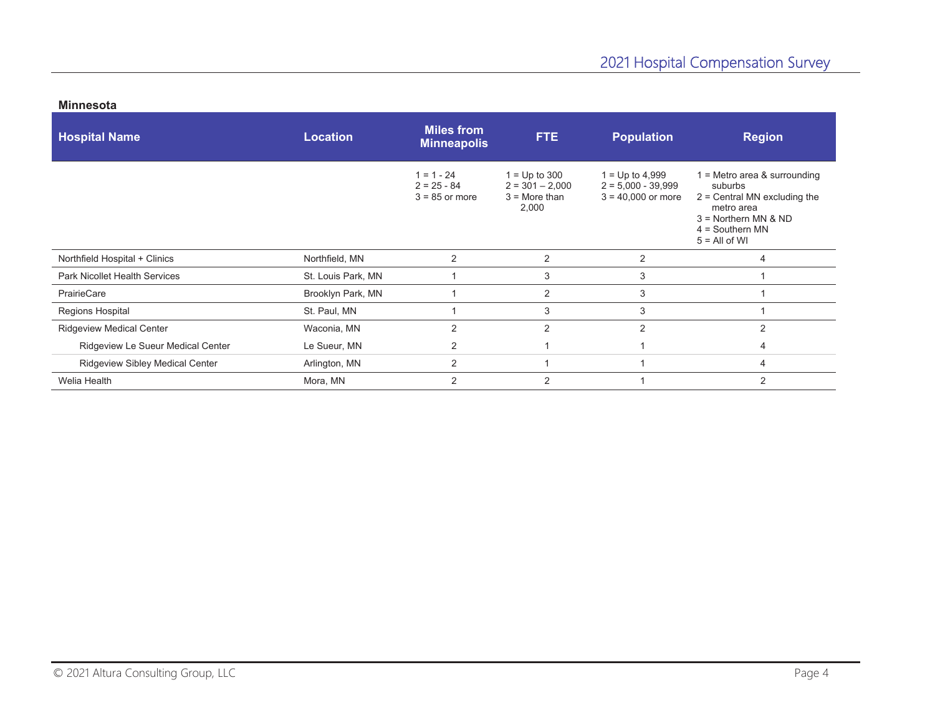| <b>Hospital Name</b>                   | <b>Location</b>    | <b>Miles from</b><br><b>Minneapolis</b>           | <b>FTE</b>                                                       | <b>Population</b>                                                 | <b>Region</b>                                                                                                                                             |
|----------------------------------------|--------------------|---------------------------------------------------|------------------------------------------------------------------|-------------------------------------------------------------------|-----------------------------------------------------------------------------------------------------------------------------------------------------------|
|                                        |                    | $1 = 1 - 24$<br>$2 = 25 - 84$<br>$3 = 85$ or more | $1 = Up to 300$<br>$2 = 301 - 2,000$<br>$3 =$ More than<br>2,000 | $1 = Up to 4,999$<br>$2 = 5,000 - 39,999$<br>$3 = 40,000$ or more | $1 =$ Metro area & surrounding<br>suburbs<br>$2$ = Central MN excluding the<br>metro area<br>3 = Northern MN & ND<br>$4 =$ Southern MN<br>$5 = All of WI$ |
| Northfield Hospital + Clinics          | Northfield, MN     | 2                                                 | $\overline{2}$                                                   | 2                                                                 | 4                                                                                                                                                         |
| <b>Park Nicollet Health Services</b>   | St. Louis Park, MN |                                                   | 3                                                                | 3                                                                 |                                                                                                                                                           |
| PrairieCare                            | Brooklyn Park, MN  |                                                   | $\overline{2}$                                                   | 3                                                                 |                                                                                                                                                           |
| Regions Hospital                       | St. Paul, MN       |                                                   | 3                                                                | 3                                                                 |                                                                                                                                                           |
| <b>Ridgeview Medical Center</b>        | Waconia, MN        | 2                                                 | $\overline{2}$                                                   | 2                                                                 | 2                                                                                                                                                         |
| Ridgeview Le Sueur Medical Center      | Le Sueur, MN       | 2                                                 |                                                                  |                                                                   | 4                                                                                                                                                         |
| <b>Ridgeview Sibley Medical Center</b> | Arlington, MN      | 2                                                 |                                                                  |                                                                   | 4                                                                                                                                                         |
| Welia Health                           | Mora, MN           | 2                                                 | $\overline{2}$                                                   |                                                                   | 2                                                                                                                                                         |

## **Minnesota**